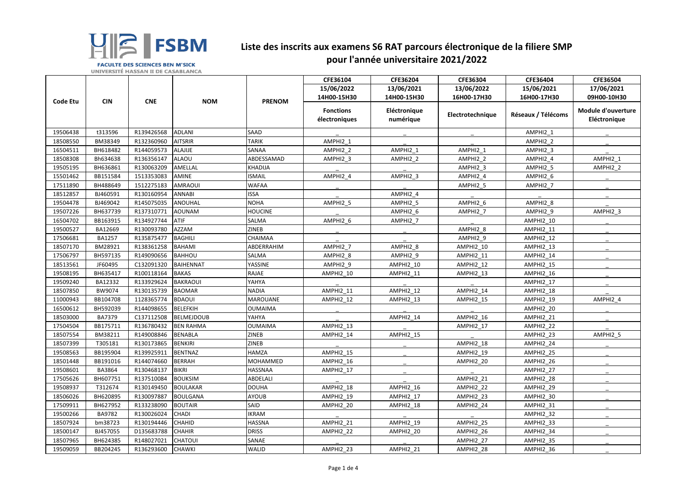|                 |            |                    |                   |                | CFE36104                          | CFE36204                  | CFE36304         | CFE36404           | CFE36504                           |
|-----------------|------------|--------------------|-------------------|----------------|-----------------------------------|---------------------------|------------------|--------------------|------------------------------------|
|                 |            |                    |                   |                | 15/06/2022                        | 13/06/2021                | 13/06/2022       | 15/06/2021         | 17/06/2021                         |
| <b>Code Etu</b> | <b>CIN</b> | <b>CNE</b>         | <b>NOM</b>        | <b>PRENOM</b>  | 14H00-15H30                       | 14H00-15H30               | 16H00-17H30      | 16H00-17H30        | 09H00-10H30                        |
|                 |            |                    |                   |                | <b>Fonctions</b><br>électroniques | Eléctronique<br>numérique | Electrotechnique | Réseaux / Télécoms | Module d'ouverture<br>Eléctronique |
| 19506438        | t313596    | R139426568         | <b>ADLANI</b>     | <b>SAAD</b>    |                                   |                           |                  | AMPHI2_1           |                                    |
| 18508550        | BM38349    | R132360960         | <b>AITSRIR</b>    | <b>TARIK</b>   | AMPHI2_1                          |                           |                  | AMPHI2_2           |                                    |
| 16504511        | BH618482   | R144059573         | ALAJIJE           | SANAA          | AMPHI2_2                          | AMPHI2 1                  | AMPHI2 1         | AMPHI2_3           |                                    |
| 18508308        | Bh634638   | R136356147         | ALAOU             | ABDESSAMAD     | AMPHI2_3                          | AMPHI2_2                  | AMPHI2_2         | AMPHI2_4           | AMPHI2_1                           |
| 19505195        | BH636861   | R130063209         | AMELLAL           | KHADIJA        |                                   |                           | AMPHI2 3         | AMPHI2 5           | AMPHI2 2                           |
| 15501462        | BB151584   | 1513353083         | AMINE             | <b>ISMAIL</b>  | AMPHI2_4                          | AMPHI2 3                  | AMPHI2_4         | AMPHI2 6           |                                    |
| 17511890        | BH488649   | 1512275183         | AMRAOUI           | <b>WAFAA</b>   |                                   |                           | AMPHI2 5         | AMPHI2 7           |                                    |
| 18512857        | BJ460591   | R130160954         | ANNABI            | <b>ISSA</b>    |                                   | AMPHI2 4                  |                  |                    |                                    |
| 19504478        | BJ469042   | R145075035         | ANOUHAL           | <b>NOHA</b>    | AMPHI2_5                          | AMPHI2_5                  | AMPHI2 6         | AMPHI2 8           |                                    |
| 19507226        | BH637739   | R137310771         | AOUNAM            | <b>HOUCINE</b> |                                   | AMPHI2_6                  | AMPHI2_7         | AMPHI2_9           | AMPHI2_3                           |
| 16504702        | BB163915   | R134927744         | <b>ATIF</b>       | <b>SALMA</b>   | AMPHI2 6                          | AMPHI2_7                  |                  | AMPHI2_10          |                                    |
| 19500527        | BA12669    | R130093780         | AZZAM             | <b>ZINEB</b>   |                                   |                           | AMPHI2 8         | AMPHI2 11          |                                    |
| 17506681        | BA1257     | R135875477         | <b>BAGHILI</b>    | <b>CHAIMAA</b> |                                   |                           | AMPHI2_9         | AMPHI2_12          |                                    |
| 18507170        | BM28921    | R138361258         | <b>BAHAMI</b>     | ABDERRAHIM     | AMPHI2 7                          | AMPHI2 8                  | AMPHI2_10        | AMPHI2_13          |                                    |
| 17506797        | BH597135   | R149090656         | <b>BAHHOU</b>     | <b>SALMA</b>   | AMPHI2_8                          | AMPHI2 9                  | AMPHI2 11        | AMPHI2 14          |                                    |
| 18513561        | JF60495    | C132091320         | <b>BAIHENNAT</b>  | YASSINE        | AMPHI2 9                          | <b>AMPHI2_10</b>          | AMPHI2_12        | AMPHI2_15          |                                    |
| 19508195        | BH635417   | R100118164         | <b>BAKAS</b>      | RAJAE          | AMPHI2_10                         | AMPHI2_11                 | AMPHI2_13        | AMPHI2_16          |                                    |
| 19509240        | BA12332    | R133929624         | <b>BAKRAOUI</b>   | YAHYA          |                                   |                           |                  | AMPHI2 17          |                                    |
| 18507850        | BW9074     | R130135739         | <b>BAOMAR</b>     | <b>NADIA</b>   | AMPHI2_11                         | AMPHI2_12                 | AMPHI2_14        | AMPHI2_18          |                                    |
| 11000943        | BB104708   | 1128365774         | <b>BDAOUI</b>     | MAROUANE       | AMPHI2_12                         | AMPHI2_13                 | AMPHI2_15        | AMPHI2_19          | AMPHI2_4                           |
| 16500612        | BH592039   | R144098655         | <b>BELEFKIH</b>   | <b>OUMAIMA</b> |                                   |                           |                  | AMPHI2_20          |                                    |
| 18503000        | BA7379     | C137112508         | <b>BELMEJDOUB</b> | YAHYA          |                                   | AMPHI2_14                 | AMPHI2_16        | AMPHI2_21          |                                    |
| 17504504        | BB175711   | R136780432         | <b>BEN RAHMA</b>  | <b>OUMAIMA</b> | AMPHI2_13                         |                           | AMPHI2_17        | AMPHI2_22          |                                    |
| 18507554        | BM38211    | R149008846 BENABLA |                   | <b>ZINEB</b>   | $AMPHI2_14$                       | <b>AMPHI2_15</b>          |                  | AMPHI2_23          | AMPHI2_5                           |
| 18507399        | T305181    | R130173865         | <b>BENKIRI</b>    | <b>ZINEB</b>   |                                   |                           | AMPHI2_18        | AMPHI2_24          |                                    |
| 19508563        | BB195904   | R139925911         | <b>BENTNAZ</b>    | HAMZA          | AMPHI2_15                         |                           | AMPHI2 19        | AMPHI2_25          |                                    |
| 18501448        | BB191016   | R144074660         | <b>BERRAH</b>     | MOHAMMED       | <b>AMPHI2_16</b>                  |                           | AMPHI2 20        | AMPHI2_26          |                                    |
| 19508601        | BA3864     | R130468137         | <b>BIKRI</b>      | HASSNAA        | <b>AMPHI2_17</b>                  |                           |                  | AMPHI2_27          |                                    |
| 17505626        | BH607751   | R137510084         | <b>BOUKSIM</b>    | ABDELALI       |                                   |                           | AMPHI2 21        | AMPHI2_28          |                                    |
| 19508937        | T312674    | R130149450         | <b>BOULAKAR</b>   | DOUHA          | AMPHI2_18                         | AMPHI2_16                 | AMPHI2_22        | AMPHI2_29          |                                    |
| 18506026        | BH620895   | R130097887         | BOULGANA          | AYOUB          | AMPHI2_19                         | AMPHI2_17                 | AMPHI2_23        | AMPHI2_30          |                                    |
| 17509911        | BH627952   | R133238090         | <b>BOUTAIR</b>    | SAID           | AMPHI2_20                         | AMPHI2_18                 | AMPHI2 24        | AMPHI2_31          |                                    |
| 19500266        | BA9782     | R130026024         | <b>CHADI</b>      | <b>IKRAM</b>   |                                   |                           |                  | AMPHI2_32          |                                    |
| 18507924        | bm38723    | R130194446         | CHAHID            | <b>HASSNA</b>  | <b>AMPHI2_21</b>                  | <b>AMPHI2_19</b>          | AMPHI2_25        | AMPHI2_33          |                                    |
| 18500147        | BJ457055   | D135683788         | <b>CHAHIR</b>     | DRISS          | <b>AMPHI2_22</b>                  | AMPHI2_20                 | AMPHI2_26        | AMPHI2_34          |                                    |
| 18507965        | BH624385   | R148027021         | <b>CHATOUI</b>    | SANAE          |                                   |                           | AMPHI2_27        | AMPHI2_35          |                                    |
| 19509059        | BB204245   | R136293600         | <b>CHAWKI</b>     | <b>WALID</b>   | AMPHI2_23                         | <b>AMPHI2_21</b>          | AMPHI2_28        | AMPHI2_36          |                                    |



## **Liste des inscrits aux examens S6 RAT parcours électronique de la filiere SMP pour l'année universitaire 2021/2022**

**FACULTE DES SCIENCES BEN M'SICK** UNIVERSITÉ HASSAN II DE CASABLANCA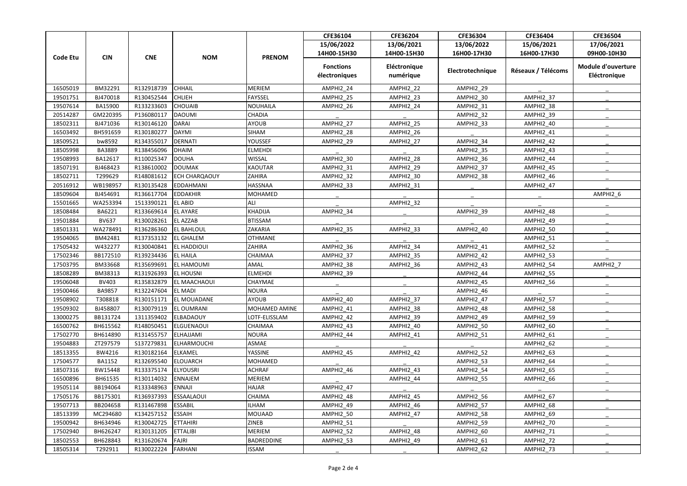|                 |               |                    |                      |                 | CFE36104                          | CFE36204                  | CFE36304         | CFE36404           | CFE36504                                  |
|-----------------|---------------|--------------------|----------------------|-----------------|-----------------------------------|---------------------------|------------------|--------------------|-------------------------------------------|
| <b>Code Etu</b> | <b>CIN</b>    | <b>CNE</b>         | <b>NOM</b>           | <b>PRENOM</b>   | 15/06/2022                        | 13/06/2021                | 13/06/2022       | 15/06/2021         | 17/06/2021                                |
|                 |               |                    |                      |                 | 14H00-15H30                       | 14H00-15H30               | 16H00-17H30      | 16H00-17H30        | 09H00-10H30                               |
|                 |               |                    |                      |                 | <b>Fonctions</b><br>électroniques | Eléctronique<br>numérique | Electrotechnique | Réseaux / Télécoms | <b>Module d'ouverture</b><br>Eléctronique |
| 16505019        | BM32291       | R132918739         | <b>CHHAIL</b>        | <b>MERIEM</b>   | AMPHI2_24                         | AMPHI2_22                 | AMPHI2_29        |                    |                                           |
| 19501751        | BJ470018      | R130452544         | <b>CHLIEH</b>        | <b>FAYSSEL</b>  | AMPHI2_25                         | <b>AMPHI2_23</b>          | AMPHI2_30        | AMPHI2 37          |                                           |
| 19507614        | BA15900       | R133233603         | <b>CHOUAIB</b>       | <b>NOUHAILA</b> | AMPHI2_26                         | AMPHI2_24                 | AMPHI2_31        | AMPHI2_38          |                                           |
| 20514287        | GM220395      | P136080117         | DAOUMI               | CHADIA          |                                   |                           | AMPHI2_32        | AMPHI2_39          |                                           |
| 18502311        | BJ471036      | R130146120         | DARAI                | <b>AYOUB</b>    | AMPHI2 27                         | <b>AMPHI2_25</b>          | AMPHI2_33        | AMPHI2_40          |                                           |
| 16503492        | BH591659      | R130180277         | DAYMI                | <b>SIHAM</b>    | AMPHI2_28                         | AMPHI2_26                 |                  | AMPHI2_41          |                                           |
| 18509521        | bw8592        | R134355017         | DERNATI              | YOUSSEF         | AMPHI2_29                         | <b>AMPHI2_27</b>          | AMPHI2_34        | AMPHI2_42          |                                           |
| 18505998        | BA3889        | R138456096         | DHAIM                | <b>ELMEHDI</b>  |                                   |                           | AMPHI2_35        | AMPHI2_43          |                                           |
| 19508993        | BA12617       | R110025347         | DOUHA                | <b>WISSAL</b>   | <b>AMPHI2_30</b>                  | AMPHI2_28                 | AMPHI2_36        | AMPHI2_44          |                                           |
| 18507191        | BJ468423      | R138610002         | <b>DOUMAK</b>        | <b>KAOUTAR</b>  | <b>AMPHI2_31</b>                  | AMPHI2_29                 | AMPHI2_37        | AMPHI2_45          |                                           |
| 18502711        | T299629       | R148081612         | <b>ECH CHARQAOUY</b> | ZAHIRA          | AMPHI2 32                         | AMPHI2 30                 | AMPHI2_38        | AMPHI2 46          |                                           |
| 20516912        | WB198957      | R130135428         | EDDAHMANI            | HASSNAA         | AMPHI2_33                         | AMPHI2_31                 |                  | AMPHI2_47          |                                           |
| 18509604        | BJ454691      | R136617704         | <b>EDDAKHIR</b>      | MOHAMED         |                                   |                           |                  |                    | AMPHI2_6                                  |
| 15501665        | WA253394      | 1513390121         | <b>EL ABID</b>       | <b>ALI</b>      |                                   | AMPHI2_32                 |                  |                    |                                           |
| 18508484        | BA6221        | R133669614         | <b>EL AYARE</b>      | <b>KHADIJA</b>  | AMPHI2_34                         |                           | AMPHI2_39        | AMPHI2_48          |                                           |
| 19501884        | <b>BV637</b>  | R130028261         | <b>EL AZZAB</b>      | <b>BTISSAM</b>  |                                   |                           |                  | AMPHI2_49          |                                           |
| 18501331        | WA278491      | R136286360         | <b>EL BAHLOUL</b>    | <b>ZAKARIA</b>  | AMPHI2 35                         | AMPHI2 33                 | AMPHI2 40        | AMPHI2 50          |                                           |
| 19504065        | BM42481       | R137353132         | <b>EL GHALEM</b>     | <b>OTHMANE</b>  |                                   |                           |                  | AMPHI2_51          |                                           |
| 17505432        | W432277       | R130040841         | <b>EL HADDIOUI</b>   | <b>ZAHIRA</b>   | AMPHI2_36                         | AMPHI2_34                 | AMPHI2_41        | <b>AMPHI2_52</b>   |                                           |
| 17502346        | BB172510      | R139234436         | <b>EL HAILA</b>      | CHAIMAA         | AMPHI2 37                         | AMPHI2_35                 | AMPHI2 42        | AMPHI2 53          |                                           |
| 17503795        | BM33668       | R135699691         | <b>EL HAMOUMI</b>    | AMAL            | AMPHI2_38                         | AMPHI2_36                 | AMPHI2_43        | AMPHI2_54          | AMPHI2_7                                  |
| 18508289        | BM38313       | R131926393         | <b>EL HOUSNI</b>     | <b>ELMEHDI</b>  | AMPHI2_39                         |                           | AMPHI2_44        | AMPHI2_55          |                                           |
| 19506048        | <b>BV403</b>  | R135832879         | <b>EL MAACHAOUI</b>  | <b>CHAYMAE</b>  |                                   |                           | AMPHI2_45        | AMPHI2_56          |                                           |
| 19500466        | <b>BA9857</b> | R132247604 EL MADI |                      | <b>NOURA</b>    |                                   |                           | AMPHI2_46        |                    |                                           |
| 19508902        | T308818       | R130151171         | EL MOUADANE          | AYOUB           | AMPHI2_40                         | AMPHI2 37                 | AMPHI2_47        | AMPHI2_57          |                                           |
| 19509302        | BJ458807      | R130079119         | <b>EL OUMRANI</b>    | MOHAMED AMINE   | <b>AMPHI2_41</b>                  | AMPHI2 38                 | AMPHI2_48        | AMPHI2_58          |                                           |
| 13000275        | BB131724      | 1311359402         | ELBADAOUY            | LOTF-ELISSLAM   | AMPHI2_42                         | AMPHI2_39                 | AMPHI2_49        | AMPHI2 59          |                                           |
| 16500762        | BH615562      | R148050451         | ELGUENAOUI           | <b>CHAIMAA</b>  | AMPHI2_43                         | AMPHI2 40                 | AMPHI2 50        | AMPHI2_60          |                                           |
| 17502770        | BH614890      | R131455757         | ELHAJJAMI            | <b>NOURA</b>    | AMPHI2_44                         | AMPHI2_41                 | AMPHI2_51        | AMPHI2_61          |                                           |
| 19504883        | ZT297579      | S137279831         | ELHARMOUCHI          | ASMAE           |                                   |                           |                  | AMPHI2_62          |                                           |
| 18513355        | BW4216        | R130182164         | <b>ELKAMEL</b>       | YASSINE         | AMPHI2_45                         | AMPHI2_42                 | AMPHI2_52        | AMPHI2_63          |                                           |
| 17504577        | <b>BA1152</b> | R132695540         | ELOUARCH             | MOHAMED         |                                   |                           | AMPHI2_53        | AMPHI2_64          |                                           |
| 18507316        | BW15448       | R133375174         | <b>ELYOUSRI</b>      | <b>ACHRAF</b>   | AMPHI2_46                         | <b>AMPHI2_43</b>          | AMPHI2_54        | AMPHI2_65          |                                           |
| 16500896        | BH61535       | R130114032         | ENNAJEM              | MERIEM          |                                   | AMPHI2_44                 | AMPHI2 55        | AMPHI2_66          |                                           |
| 19505114        | BB194064      | R133348963         | ENNAJI               | <b>HAJAR</b>    | AMPHI2 47                         |                           |                  |                    |                                           |
| 17505176        | BB175301      | R136937393         | ESSAALAOUI           | <b>CHAIMA</b>   | AMPHI2_48                         | AMPHI2_45                 | AMPHI2_56        | AMPHI2_67          |                                           |
| 19507713        | BB204658      | R131467898         | <b>ESSABIL</b>       | <b>ILHAM</b>    | AMPHI2_49                         | AMPHI2_46                 | AMPHI2_57        | AMPHI2_68          |                                           |
| 18513399        | MC294680      | K134257152         | <b>ESSAIH</b>        | <b>MOUAAD</b>   | AMPHI2_50                         | AMPHI2_47                 | AMPHI2 58        | AMPHI2_69          |                                           |
| 19500942        | BH634946      | R130042725         | ETTAHIRI             | <b>ZINEB</b>    | AMPHI2_51                         |                           | AMPHI2_59        | AMPHI2_70          |                                           |
| 17502940        | BH626247      | R130131205         | <b>ETTALIBI</b>      | <b>MERIEM</b>   | <b>AMPHI2_52</b>                  | AMPHI2_48                 | AMPHI2_60        | AMPHI2_71          |                                           |
| 18502553        | BH628843      | R131620674         | FAJRI                | BADREDDINE      | AMPHI2_53                         | AMPHI2_49                 | AMPHI2_61        | AMPHI2_72          |                                           |
| 18505314        | T292911       | R130022224         | FARHANI              | <b>ISSAM</b>    |                                   |                           | AMPHI2_62        | AMPHI2_73          |                                           |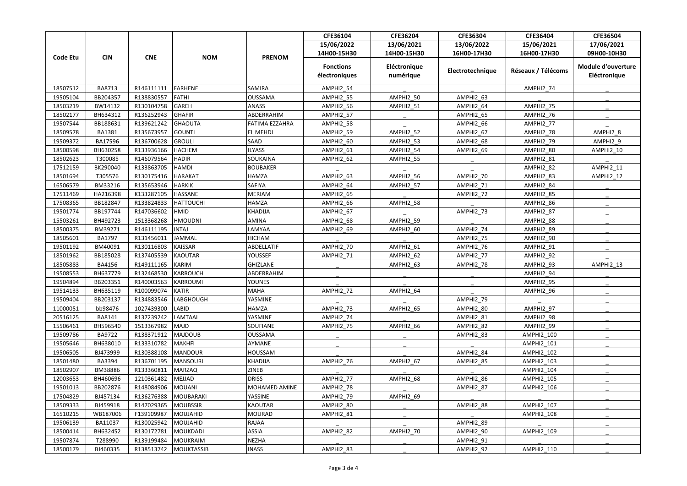| 15/06/2022<br>13/06/2022<br>17/06/2021<br>13/06/2021<br>15/06/2021<br>14H00-15H30<br>14H00-15H30<br>16H00-17H30<br>16H00-17H30<br>09H00-10H30<br><b>CNE</b><br><b>NOM</b><br><b>PRENOM</b><br><b>Code Etu</b><br><b>CIN</b><br><b>Module d'ouverture</b><br><b>Fonctions</b><br>Eléctronique<br>Electrotechnique<br>Réseaux / Télécoms<br>électroniques<br>numérique<br>Eléctronique<br>18507512<br>BA8713<br>R146111111<br>FARHENE<br>SAMIRA<br>AMPHI2_54<br>AMPHI2_74<br>AMPHI2 50<br>AMPHI2 63<br>19505104<br>BB204357<br>R138830557<br>FATHI<br><b>OUSSAMA</b><br>AMPHI2 55<br>GAREH<br>AMPHI2_75<br>18503219<br>BW14132<br>R130104758<br><b>ANASS</b><br>AMPHI2_56<br>AMPHI2_51<br>AMPHI2_64<br>R136252943<br>GHAFIR<br>ABDERRAHIM<br>18502177<br>BH634312<br><b>AMPHI2_57</b><br>AMPHI2_76<br>AMPHI2_65<br>19507544<br>BB188631<br>R139621242<br>FATIMA EZZAHRA<br><b>GHAOUTA</b><br>AMPHI2 58<br>AMPHI2 66<br>AMPHI2 77<br>R135673957<br>AMPHI2_52<br>AMPHI2 8<br>18509578<br><b>BA1381</b><br>GOUNTI<br>EL MEHDI<br>AMPHI2_59<br>AMPHI2_67<br>AMPHI2_78<br>R136700628<br>19509372<br>BA17596<br>GROULI<br>SAAD<br>AMPHI2_79<br>AMPHI2_9<br>AMPHI2_60<br>AMPHI2_53<br>AMPHI2_68<br>18500598<br>R133936166<br><b>HACHEM</b><br><b>ILYASS</b><br>AMPHI2 61<br>AMPHI2_69<br>AMPHI2 80<br>BH630258<br>AMPHI2 54<br>AMPHI2_10<br><b>HADIR</b><br>18502623<br>T300085<br>R146079564<br>SOUKAINA<br>AMPHI2_62<br><b>AMPHI2_81</b><br>AMPHI2_55<br>R133863705<br><b>HAMDI</b><br>AMPHI2_11<br>17512159<br>BK290040<br><b>BOUBAKER</b><br>AMPHI2_82<br><b>HAMZA</b><br>18501694<br>T305576<br>R130175416<br>HARAKAT<br>AMPHI2 63<br>AMPHI2 56<br>AMPHI2 70<br>AMPHI2 83<br>AMPHI2 12<br>BM33216<br>R135653946<br><b>HARKIK</b><br>SAFIYA<br>16506579<br>AMPHI2_64<br>AMPHI2_84<br>AMPHI2_57<br>AMPHI2_71<br>HA216398<br>K133287105<br><b>HASSANE</b><br><b>MERIAM</b><br>17511469<br>AMPHI2_65<br>AMPHI2 72<br>AMPHI2_85<br>BB182847<br>R133824833<br><b>HATTOUCHI</b><br><b>HAMZA</b><br>17508365<br>AMPHI2 66<br>AMPHI2 58<br>AMPHI2 86<br>R147036602<br>19501774<br>BB197744<br><b>HMID</b><br>AMPHI2_73<br><b>KHADIJA</b><br>AMPHI2_67<br>AMPHI2_87<br>BH492723<br><b>HMOUDNI</b><br><b>AMINA</b><br>15503261<br>1513368268<br><b>AMPHI2_59</b><br>AMPHI2_88<br>AMPHI2_68<br>18500375<br>BM39271<br>R146111195<br><b>INTAJ</b><br>AMPHI2 74<br>AMPHI2 89<br>LAMYAA<br>AMPHI2 69<br>AMPHI2 60<br>BA1797<br>R131456011<br><b>HICHAM</b><br>18505601<br>JAMMAL<br>AMPHI2_90<br>AMPHI2_75<br>19501192<br>BM40091<br>R130116803<br>KAISSAR<br>ABDELLATIF<br>AMPHI2_70<br>AMPHI2_76<br>AMPHI2_91<br>AMPHI2 61<br>18501962<br>BB185028<br>R137405539<br>KAOUTAR<br><b>YOUSSEF</b><br>AMPHI2 71<br>AMPHI2 62<br>AMPHI2 77<br>AMPHI2 92<br>KARIM<br><b>GHIZLANE</b><br>18505883<br><b>BA4156</b><br>R149111165<br>AMPHI2_93<br>AMPHI2_13<br>AMPHI2_63<br>AMPHI2_78<br>19508553<br>BH637779<br>R132468530<br>KARROUCH<br>ABDERRAHIM<br>AMPHI2_94<br>19504894<br>BB203351<br>R140003563<br>KARROUMI<br><b>YOUNES</b><br>AMPHI2_95<br>19514133<br>BH635119<br>R100099074 KATIR<br><b>MAHA</b><br><b>AMPHI2_72</b><br>AMPHI2 64<br>AMPHI2_96<br>19509404<br>BB203137<br>R134883546<br>LABGHOUGH<br>YASMINE<br>AMPHI2_79<br>AMPHI2 65<br>11000051<br>bb98476<br>1027439300<br>HAMZA<br>AMPHI2_73<br>AMPHI2_80<br>AMPHI2 97<br><b>LABID</b><br>R137239242<br>LAMTAAI<br><b>YASMINE</b><br>20516125<br>BA8141<br>AMPHI2_74<br>AMPHI2_81<br>AMPHI2_98<br>15506461<br>1513367982<br>MAJD<br>SOUFIANE<br>AMPHI2 75<br>AMPHI2 66<br>AMPHI2_82<br>AMPHI2_99<br>BH596540<br>19509786<br>BA9722<br>R138371912<br>MAJDOUB<br><b>OUSSAMA</b><br>AMPHI2_83<br>AMPHI2_100<br>MAKHFI<br>19505646<br>BH638010<br>R133310782<br>AYMANE<br>AMPHI2_101<br>19506505<br>BJ473999<br>R130388108<br>MANDOUR<br>HOUSSAM<br>AMPHI2 84<br>AMPHI2_102<br>MANSOURI<br>KHADIJA<br><b>AMPHI2 103</b><br>18501480<br>BA3394<br>R136701195<br>AMPHI2 76<br>AMPHI2 67<br>AMPHI2 85<br>18502907<br>BM38886<br>R133360811<br>MARZAQ<br><b>ZINEB</b><br>AMPHI2_104<br>AMPHI2 86<br>12003653<br>BH460696<br>1210361482<br>MEJJAD<br><b>DRISS</b><br>AMPHI2 77<br>AMPHI2 68<br>AMPHI2_105<br>R148084906<br>MOHAMED AMINE<br>19501013<br>BB202876<br>MOUANI<br>AMPHI2 78<br>AMPHI2 87<br><b>AMPHI2 106</b><br>17504829<br>BJ457134<br>R136276388<br>MOUBARAKI<br><b>YASSINE</b><br>AMPHI2_69<br>AMPHI2_79<br>18509333<br>BJ459918<br>R147029365<br><b>KAOUTAR</b><br>AMPHI2 88<br>AMPHI2_107<br>MOUBSSIR<br>AMPHI2_80<br>MOUJAHID<br>WB187006<br>F139109987<br><b>MOURAD</b><br>16510215<br>AMPHI2_81<br>AMPHI2_108<br>19506139<br>BA11037<br>R130025942<br>MOUJAHID<br>RAJAA<br>AMPHI2_89<br>BH632452<br>MOUKDADI<br>ASSIA<br>AMPHI2 82<br>AMPHI2 70<br>18500414<br>R130172781<br>AMPHI2_90<br>AMPHI2 109<br>19507874<br>T288990<br><b>NEZHA</b><br>R139199484<br>MOUKRAIM<br>AMPHI2_91<br>18500179<br>BJ460335<br>R138513742<br>MOUKTASSIB<br><b>INASS</b><br>AMPHI2_83<br>AMPHI2_110<br>AMPHI2_92 |  |  |  |  | CFE36104 | CFE36204 | CFE36304 | CFE36404 | CFE36504 |
|----------------------------------------------------------------------------------------------------------------------------------------------------------------------------------------------------------------------------------------------------------------------------------------------------------------------------------------------------------------------------------------------------------------------------------------------------------------------------------------------------------------------------------------------------------------------------------------------------------------------------------------------------------------------------------------------------------------------------------------------------------------------------------------------------------------------------------------------------------------------------------------------------------------------------------------------------------------------------------------------------------------------------------------------------------------------------------------------------------------------------------------------------------------------------------------------------------------------------------------------------------------------------------------------------------------------------------------------------------------------------------------------------------------------------------------------------------------------------------------------------------------------------------------------------------------------------------------------------------------------------------------------------------------------------------------------------------------------------------------------------------------------------------------------------------------------------------------------------------------------------------------------------------------------------------------------------------------------------------------------------------------------------------------------------------------------------------------------------------------------------------------------------------------------------------------------------------------------------------------------------------------------------------------------------------------------------------------------------------------------------------------------------------------------------------------------------------------------------------------------------------------------------------------------------------------------------------------------------------------------------------------------------------------------------------------------------------------------------------------------------------------------------------------------------------------------------------------------------------------------------------------------------------------------------------------------------------------------------------------------------------------------------------------------------------------------------------------------------------------------------------------------------------------------------------------------------------------------------------------------------------------------------------------------------------------------------------------------------------------------------------------------------------------------------------------------------------------------------------------------------------------------------------------------------------------------------------------------------------------------------------------------------------------------------------------------------------------------------------------------------------------------------------------------------------------------------------------------------------------------------------------------------------------------------------------------------------------------------------------------------------------------------------------------------------------------------------------------------------------------------------------------------------------------------------------------------------------------------------------------------------------------------------------------------------------------------------------------------------------------------------------------------------------------------------------------------------------------------------------------------------------------------------------------------------------------------------------------------------------------------------------------------------------------------------------------------------------------------------------------------------------------------------------------------------------------------------------------------------------------------------------------------------------------------------------------------|--|--|--|--|----------|----------|----------|----------|----------|
|                                                                                                                                                                                                                                                                                                                                                                                                                                                                                                                                                                                                                                                                                                                                                                                                                                                                                                                                                                                                                                                                                                                                                                                                                                                                                                                                                                                                                                                                                                                                                                                                                                                                                                                                                                                                                                                                                                                                                                                                                                                                                                                                                                                                                                                                                                                                                                                                                                                                                                                                                                                                                                                                                                                                                                                                                                                                                                                                                                                                                                                                                                                                                                                                                                                                                                                                                                                                                                                                                                                                                                                                                                                                                                                                                                                                                                                                                                                                                                                                                                                                                                                                                                                                                                                                                                                                                                                                                                                                                                                                                                                                                                                                                                                                                                                                                                                                                                                                                    |  |  |  |  |          |          |          |          |          |
|                                                                                                                                                                                                                                                                                                                                                                                                                                                                                                                                                                                                                                                                                                                                                                                                                                                                                                                                                                                                                                                                                                                                                                                                                                                                                                                                                                                                                                                                                                                                                                                                                                                                                                                                                                                                                                                                                                                                                                                                                                                                                                                                                                                                                                                                                                                                                                                                                                                                                                                                                                                                                                                                                                                                                                                                                                                                                                                                                                                                                                                                                                                                                                                                                                                                                                                                                                                                                                                                                                                                                                                                                                                                                                                                                                                                                                                                                                                                                                                                                                                                                                                                                                                                                                                                                                                                                                                                                                                                                                                                                                                                                                                                                                                                                                                                                                                                                                                                                    |  |  |  |  |          |          |          |          |          |
|                                                                                                                                                                                                                                                                                                                                                                                                                                                                                                                                                                                                                                                                                                                                                                                                                                                                                                                                                                                                                                                                                                                                                                                                                                                                                                                                                                                                                                                                                                                                                                                                                                                                                                                                                                                                                                                                                                                                                                                                                                                                                                                                                                                                                                                                                                                                                                                                                                                                                                                                                                                                                                                                                                                                                                                                                                                                                                                                                                                                                                                                                                                                                                                                                                                                                                                                                                                                                                                                                                                                                                                                                                                                                                                                                                                                                                                                                                                                                                                                                                                                                                                                                                                                                                                                                                                                                                                                                                                                                                                                                                                                                                                                                                                                                                                                                                                                                                                                                    |  |  |  |  |          |          |          |          |          |
|                                                                                                                                                                                                                                                                                                                                                                                                                                                                                                                                                                                                                                                                                                                                                                                                                                                                                                                                                                                                                                                                                                                                                                                                                                                                                                                                                                                                                                                                                                                                                                                                                                                                                                                                                                                                                                                                                                                                                                                                                                                                                                                                                                                                                                                                                                                                                                                                                                                                                                                                                                                                                                                                                                                                                                                                                                                                                                                                                                                                                                                                                                                                                                                                                                                                                                                                                                                                                                                                                                                                                                                                                                                                                                                                                                                                                                                                                                                                                                                                                                                                                                                                                                                                                                                                                                                                                                                                                                                                                                                                                                                                                                                                                                                                                                                                                                                                                                                                                    |  |  |  |  |          |          |          |          |          |
|                                                                                                                                                                                                                                                                                                                                                                                                                                                                                                                                                                                                                                                                                                                                                                                                                                                                                                                                                                                                                                                                                                                                                                                                                                                                                                                                                                                                                                                                                                                                                                                                                                                                                                                                                                                                                                                                                                                                                                                                                                                                                                                                                                                                                                                                                                                                                                                                                                                                                                                                                                                                                                                                                                                                                                                                                                                                                                                                                                                                                                                                                                                                                                                                                                                                                                                                                                                                                                                                                                                                                                                                                                                                                                                                                                                                                                                                                                                                                                                                                                                                                                                                                                                                                                                                                                                                                                                                                                                                                                                                                                                                                                                                                                                                                                                                                                                                                                                                                    |  |  |  |  |          |          |          |          |          |
|                                                                                                                                                                                                                                                                                                                                                                                                                                                                                                                                                                                                                                                                                                                                                                                                                                                                                                                                                                                                                                                                                                                                                                                                                                                                                                                                                                                                                                                                                                                                                                                                                                                                                                                                                                                                                                                                                                                                                                                                                                                                                                                                                                                                                                                                                                                                                                                                                                                                                                                                                                                                                                                                                                                                                                                                                                                                                                                                                                                                                                                                                                                                                                                                                                                                                                                                                                                                                                                                                                                                                                                                                                                                                                                                                                                                                                                                                                                                                                                                                                                                                                                                                                                                                                                                                                                                                                                                                                                                                                                                                                                                                                                                                                                                                                                                                                                                                                                                                    |  |  |  |  |          |          |          |          |          |
|                                                                                                                                                                                                                                                                                                                                                                                                                                                                                                                                                                                                                                                                                                                                                                                                                                                                                                                                                                                                                                                                                                                                                                                                                                                                                                                                                                                                                                                                                                                                                                                                                                                                                                                                                                                                                                                                                                                                                                                                                                                                                                                                                                                                                                                                                                                                                                                                                                                                                                                                                                                                                                                                                                                                                                                                                                                                                                                                                                                                                                                                                                                                                                                                                                                                                                                                                                                                                                                                                                                                                                                                                                                                                                                                                                                                                                                                                                                                                                                                                                                                                                                                                                                                                                                                                                                                                                                                                                                                                                                                                                                                                                                                                                                                                                                                                                                                                                                                                    |  |  |  |  |          |          |          |          |          |
|                                                                                                                                                                                                                                                                                                                                                                                                                                                                                                                                                                                                                                                                                                                                                                                                                                                                                                                                                                                                                                                                                                                                                                                                                                                                                                                                                                                                                                                                                                                                                                                                                                                                                                                                                                                                                                                                                                                                                                                                                                                                                                                                                                                                                                                                                                                                                                                                                                                                                                                                                                                                                                                                                                                                                                                                                                                                                                                                                                                                                                                                                                                                                                                                                                                                                                                                                                                                                                                                                                                                                                                                                                                                                                                                                                                                                                                                                                                                                                                                                                                                                                                                                                                                                                                                                                                                                                                                                                                                                                                                                                                                                                                                                                                                                                                                                                                                                                                                                    |  |  |  |  |          |          |          |          |          |
|                                                                                                                                                                                                                                                                                                                                                                                                                                                                                                                                                                                                                                                                                                                                                                                                                                                                                                                                                                                                                                                                                                                                                                                                                                                                                                                                                                                                                                                                                                                                                                                                                                                                                                                                                                                                                                                                                                                                                                                                                                                                                                                                                                                                                                                                                                                                                                                                                                                                                                                                                                                                                                                                                                                                                                                                                                                                                                                                                                                                                                                                                                                                                                                                                                                                                                                                                                                                                                                                                                                                                                                                                                                                                                                                                                                                                                                                                                                                                                                                                                                                                                                                                                                                                                                                                                                                                                                                                                                                                                                                                                                                                                                                                                                                                                                                                                                                                                                                                    |  |  |  |  |          |          |          |          |          |
|                                                                                                                                                                                                                                                                                                                                                                                                                                                                                                                                                                                                                                                                                                                                                                                                                                                                                                                                                                                                                                                                                                                                                                                                                                                                                                                                                                                                                                                                                                                                                                                                                                                                                                                                                                                                                                                                                                                                                                                                                                                                                                                                                                                                                                                                                                                                                                                                                                                                                                                                                                                                                                                                                                                                                                                                                                                                                                                                                                                                                                                                                                                                                                                                                                                                                                                                                                                                                                                                                                                                                                                                                                                                                                                                                                                                                                                                                                                                                                                                                                                                                                                                                                                                                                                                                                                                                                                                                                                                                                                                                                                                                                                                                                                                                                                                                                                                                                                                                    |  |  |  |  |          |          |          |          |          |
|                                                                                                                                                                                                                                                                                                                                                                                                                                                                                                                                                                                                                                                                                                                                                                                                                                                                                                                                                                                                                                                                                                                                                                                                                                                                                                                                                                                                                                                                                                                                                                                                                                                                                                                                                                                                                                                                                                                                                                                                                                                                                                                                                                                                                                                                                                                                                                                                                                                                                                                                                                                                                                                                                                                                                                                                                                                                                                                                                                                                                                                                                                                                                                                                                                                                                                                                                                                                                                                                                                                                                                                                                                                                                                                                                                                                                                                                                                                                                                                                                                                                                                                                                                                                                                                                                                                                                                                                                                                                                                                                                                                                                                                                                                                                                                                                                                                                                                                                                    |  |  |  |  |          |          |          |          |          |
|                                                                                                                                                                                                                                                                                                                                                                                                                                                                                                                                                                                                                                                                                                                                                                                                                                                                                                                                                                                                                                                                                                                                                                                                                                                                                                                                                                                                                                                                                                                                                                                                                                                                                                                                                                                                                                                                                                                                                                                                                                                                                                                                                                                                                                                                                                                                                                                                                                                                                                                                                                                                                                                                                                                                                                                                                                                                                                                                                                                                                                                                                                                                                                                                                                                                                                                                                                                                                                                                                                                                                                                                                                                                                                                                                                                                                                                                                                                                                                                                                                                                                                                                                                                                                                                                                                                                                                                                                                                                                                                                                                                                                                                                                                                                                                                                                                                                                                                                                    |  |  |  |  |          |          |          |          |          |
|                                                                                                                                                                                                                                                                                                                                                                                                                                                                                                                                                                                                                                                                                                                                                                                                                                                                                                                                                                                                                                                                                                                                                                                                                                                                                                                                                                                                                                                                                                                                                                                                                                                                                                                                                                                                                                                                                                                                                                                                                                                                                                                                                                                                                                                                                                                                                                                                                                                                                                                                                                                                                                                                                                                                                                                                                                                                                                                                                                                                                                                                                                                                                                                                                                                                                                                                                                                                                                                                                                                                                                                                                                                                                                                                                                                                                                                                                                                                                                                                                                                                                                                                                                                                                                                                                                                                                                                                                                                                                                                                                                                                                                                                                                                                                                                                                                                                                                                                                    |  |  |  |  |          |          |          |          |          |
|                                                                                                                                                                                                                                                                                                                                                                                                                                                                                                                                                                                                                                                                                                                                                                                                                                                                                                                                                                                                                                                                                                                                                                                                                                                                                                                                                                                                                                                                                                                                                                                                                                                                                                                                                                                                                                                                                                                                                                                                                                                                                                                                                                                                                                                                                                                                                                                                                                                                                                                                                                                                                                                                                                                                                                                                                                                                                                                                                                                                                                                                                                                                                                                                                                                                                                                                                                                                                                                                                                                                                                                                                                                                                                                                                                                                                                                                                                                                                                                                                                                                                                                                                                                                                                                                                                                                                                                                                                                                                                                                                                                                                                                                                                                                                                                                                                                                                                                                                    |  |  |  |  |          |          |          |          |          |
|                                                                                                                                                                                                                                                                                                                                                                                                                                                                                                                                                                                                                                                                                                                                                                                                                                                                                                                                                                                                                                                                                                                                                                                                                                                                                                                                                                                                                                                                                                                                                                                                                                                                                                                                                                                                                                                                                                                                                                                                                                                                                                                                                                                                                                                                                                                                                                                                                                                                                                                                                                                                                                                                                                                                                                                                                                                                                                                                                                                                                                                                                                                                                                                                                                                                                                                                                                                                                                                                                                                                                                                                                                                                                                                                                                                                                                                                                                                                                                                                                                                                                                                                                                                                                                                                                                                                                                                                                                                                                                                                                                                                                                                                                                                                                                                                                                                                                                                                                    |  |  |  |  |          |          |          |          |          |
|                                                                                                                                                                                                                                                                                                                                                                                                                                                                                                                                                                                                                                                                                                                                                                                                                                                                                                                                                                                                                                                                                                                                                                                                                                                                                                                                                                                                                                                                                                                                                                                                                                                                                                                                                                                                                                                                                                                                                                                                                                                                                                                                                                                                                                                                                                                                                                                                                                                                                                                                                                                                                                                                                                                                                                                                                                                                                                                                                                                                                                                                                                                                                                                                                                                                                                                                                                                                                                                                                                                                                                                                                                                                                                                                                                                                                                                                                                                                                                                                                                                                                                                                                                                                                                                                                                                                                                                                                                                                                                                                                                                                                                                                                                                                                                                                                                                                                                                                                    |  |  |  |  |          |          |          |          |          |
|                                                                                                                                                                                                                                                                                                                                                                                                                                                                                                                                                                                                                                                                                                                                                                                                                                                                                                                                                                                                                                                                                                                                                                                                                                                                                                                                                                                                                                                                                                                                                                                                                                                                                                                                                                                                                                                                                                                                                                                                                                                                                                                                                                                                                                                                                                                                                                                                                                                                                                                                                                                                                                                                                                                                                                                                                                                                                                                                                                                                                                                                                                                                                                                                                                                                                                                                                                                                                                                                                                                                                                                                                                                                                                                                                                                                                                                                                                                                                                                                                                                                                                                                                                                                                                                                                                                                                                                                                                                                                                                                                                                                                                                                                                                                                                                                                                                                                                                                                    |  |  |  |  |          |          |          |          |          |
|                                                                                                                                                                                                                                                                                                                                                                                                                                                                                                                                                                                                                                                                                                                                                                                                                                                                                                                                                                                                                                                                                                                                                                                                                                                                                                                                                                                                                                                                                                                                                                                                                                                                                                                                                                                                                                                                                                                                                                                                                                                                                                                                                                                                                                                                                                                                                                                                                                                                                                                                                                                                                                                                                                                                                                                                                                                                                                                                                                                                                                                                                                                                                                                                                                                                                                                                                                                                                                                                                                                                                                                                                                                                                                                                                                                                                                                                                                                                                                                                                                                                                                                                                                                                                                                                                                                                                                                                                                                                                                                                                                                                                                                                                                                                                                                                                                                                                                                                                    |  |  |  |  |          |          |          |          |          |
|                                                                                                                                                                                                                                                                                                                                                                                                                                                                                                                                                                                                                                                                                                                                                                                                                                                                                                                                                                                                                                                                                                                                                                                                                                                                                                                                                                                                                                                                                                                                                                                                                                                                                                                                                                                                                                                                                                                                                                                                                                                                                                                                                                                                                                                                                                                                                                                                                                                                                                                                                                                                                                                                                                                                                                                                                                                                                                                                                                                                                                                                                                                                                                                                                                                                                                                                                                                                                                                                                                                                                                                                                                                                                                                                                                                                                                                                                                                                                                                                                                                                                                                                                                                                                                                                                                                                                                                                                                                                                                                                                                                                                                                                                                                                                                                                                                                                                                                                                    |  |  |  |  |          |          |          |          |          |
|                                                                                                                                                                                                                                                                                                                                                                                                                                                                                                                                                                                                                                                                                                                                                                                                                                                                                                                                                                                                                                                                                                                                                                                                                                                                                                                                                                                                                                                                                                                                                                                                                                                                                                                                                                                                                                                                                                                                                                                                                                                                                                                                                                                                                                                                                                                                                                                                                                                                                                                                                                                                                                                                                                                                                                                                                                                                                                                                                                                                                                                                                                                                                                                                                                                                                                                                                                                                                                                                                                                                                                                                                                                                                                                                                                                                                                                                                                                                                                                                                                                                                                                                                                                                                                                                                                                                                                                                                                                                                                                                                                                                                                                                                                                                                                                                                                                                                                                                                    |  |  |  |  |          |          |          |          |          |
|                                                                                                                                                                                                                                                                                                                                                                                                                                                                                                                                                                                                                                                                                                                                                                                                                                                                                                                                                                                                                                                                                                                                                                                                                                                                                                                                                                                                                                                                                                                                                                                                                                                                                                                                                                                                                                                                                                                                                                                                                                                                                                                                                                                                                                                                                                                                                                                                                                                                                                                                                                                                                                                                                                                                                                                                                                                                                                                                                                                                                                                                                                                                                                                                                                                                                                                                                                                                                                                                                                                                                                                                                                                                                                                                                                                                                                                                                                                                                                                                                                                                                                                                                                                                                                                                                                                                                                                                                                                                                                                                                                                                                                                                                                                                                                                                                                                                                                                                                    |  |  |  |  |          |          |          |          |          |
|                                                                                                                                                                                                                                                                                                                                                                                                                                                                                                                                                                                                                                                                                                                                                                                                                                                                                                                                                                                                                                                                                                                                                                                                                                                                                                                                                                                                                                                                                                                                                                                                                                                                                                                                                                                                                                                                                                                                                                                                                                                                                                                                                                                                                                                                                                                                                                                                                                                                                                                                                                                                                                                                                                                                                                                                                                                                                                                                                                                                                                                                                                                                                                                                                                                                                                                                                                                                                                                                                                                                                                                                                                                                                                                                                                                                                                                                                                                                                                                                                                                                                                                                                                                                                                                                                                                                                                                                                                                                                                                                                                                                                                                                                                                                                                                                                                                                                                                                                    |  |  |  |  |          |          |          |          |          |
|                                                                                                                                                                                                                                                                                                                                                                                                                                                                                                                                                                                                                                                                                                                                                                                                                                                                                                                                                                                                                                                                                                                                                                                                                                                                                                                                                                                                                                                                                                                                                                                                                                                                                                                                                                                                                                                                                                                                                                                                                                                                                                                                                                                                                                                                                                                                                                                                                                                                                                                                                                                                                                                                                                                                                                                                                                                                                                                                                                                                                                                                                                                                                                                                                                                                                                                                                                                                                                                                                                                                                                                                                                                                                                                                                                                                                                                                                                                                                                                                                                                                                                                                                                                                                                                                                                                                                                                                                                                                                                                                                                                                                                                                                                                                                                                                                                                                                                                                                    |  |  |  |  |          |          |          |          |          |
|                                                                                                                                                                                                                                                                                                                                                                                                                                                                                                                                                                                                                                                                                                                                                                                                                                                                                                                                                                                                                                                                                                                                                                                                                                                                                                                                                                                                                                                                                                                                                                                                                                                                                                                                                                                                                                                                                                                                                                                                                                                                                                                                                                                                                                                                                                                                                                                                                                                                                                                                                                                                                                                                                                                                                                                                                                                                                                                                                                                                                                                                                                                                                                                                                                                                                                                                                                                                                                                                                                                                                                                                                                                                                                                                                                                                                                                                                                                                                                                                                                                                                                                                                                                                                                                                                                                                                                                                                                                                                                                                                                                                                                                                                                                                                                                                                                                                                                                                                    |  |  |  |  |          |          |          |          |          |
|                                                                                                                                                                                                                                                                                                                                                                                                                                                                                                                                                                                                                                                                                                                                                                                                                                                                                                                                                                                                                                                                                                                                                                                                                                                                                                                                                                                                                                                                                                                                                                                                                                                                                                                                                                                                                                                                                                                                                                                                                                                                                                                                                                                                                                                                                                                                                                                                                                                                                                                                                                                                                                                                                                                                                                                                                                                                                                                                                                                                                                                                                                                                                                                                                                                                                                                                                                                                                                                                                                                                                                                                                                                                                                                                                                                                                                                                                                                                                                                                                                                                                                                                                                                                                                                                                                                                                                                                                                                                                                                                                                                                                                                                                                                                                                                                                                                                                                                                                    |  |  |  |  |          |          |          |          |          |
|                                                                                                                                                                                                                                                                                                                                                                                                                                                                                                                                                                                                                                                                                                                                                                                                                                                                                                                                                                                                                                                                                                                                                                                                                                                                                                                                                                                                                                                                                                                                                                                                                                                                                                                                                                                                                                                                                                                                                                                                                                                                                                                                                                                                                                                                                                                                                                                                                                                                                                                                                                                                                                                                                                                                                                                                                                                                                                                                                                                                                                                                                                                                                                                                                                                                                                                                                                                                                                                                                                                                                                                                                                                                                                                                                                                                                                                                                                                                                                                                                                                                                                                                                                                                                                                                                                                                                                                                                                                                                                                                                                                                                                                                                                                                                                                                                                                                                                                                                    |  |  |  |  |          |          |          |          |          |
|                                                                                                                                                                                                                                                                                                                                                                                                                                                                                                                                                                                                                                                                                                                                                                                                                                                                                                                                                                                                                                                                                                                                                                                                                                                                                                                                                                                                                                                                                                                                                                                                                                                                                                                                                                                                                                                                                                                                                                                                                                                                                                                                                                                                                                                                                                                                                                                                                                                                                                                                                                                                                                                                                                                                                                                                                                                                                                                                                                                                                                                                                                                                                                                                                                                                                                                                                                                                                                                                                                                                                                                                                                                                                                                                                                                                                                                                                                                                                                                                                                                                                                                                                                                                                                                                                                                                                                                                                                                                                                                                                                                                                                                                                                                                                                                                                                                                                                                                                    |  |  |  |  |          |          |          |          |          |
|                                                                                                                                                                                                                                                                                                                                                                                                                                                                                                                                                                                                                                                                                                                                                                                                                                                                                                                                                                                                                                                                                                                                                                                                                                                                                                                                                                                                                                                                                                                                                                                                                                                                                                                                                                                                                                                                                                                                                                                                                                                                                                                                                                                                                                                                                                                                                                                                                                                                                                                                                                                                                                                                                                                                                                                                                                                                                                                                                                                                                                                                                                                                                                                                                                                                                                                                                                                                                                                                                                                                                                                                                                                                                                                                                                                                                                                                                                                                                                                                                                                                                                                                                                                                                                                                                                                                                                                                                                                                                                                                                                                                                                                                                                                                                                                                                                                                                                                                                    |  |  |  |  |          |          |          |          |          |
|                                                                                                                                                                                                                                                                                                                                                                                                                                                                                                                                                                                                                                                                                                                                                                                                                                                                                                                                                                                                                                                                                                                                                                                                                                                                                                                                                                                                                                                                                                                                                                                                                                                                                                                                                                                                                                                                                                                                                                                                                                                                                                                                                                                                                                                                                                                                                                                                                                                                                                                                                                                                                                                                                                                                                                                                                                                                                                                                                                                                                                                                                                                                                                                                                                                                                                                                                                                                                                                                                                                                                                                                                                                                                                                                                                                                                                                                                                                                                                                                                                                                                                                                                                                                                                                                                                                                                                                                                                                                                                                                                                                                                                                                                                                                                                                                                                                                                                                                                    |  |  |  |  |          |          |          |          |          |
|                                                                                                                                                                                                                                                                                                                                                                                                                                                                                                                                                                                                                                                                                                                                                                                                                                                                                                                                                                                                                                                                                                                                                                                                                                                                                                                                                                                                                                                                                                                                                                                                                                                                                                                                                                                                                                                                                                                                                                                                                                                                                                                                                                                                                                                                                                                                                                                                                                                                                                                                                                                                                                                                                                                                                                                                                                                                                                                                                                                                                                                                                                                                                                                                                                                                                                                                                                                                                                                                                                                                                                                                                                                                                                                                                                                                                                                                                                                                                                                                                                                                                                                                                                                                                                                                                                                                                                                                                                                                                                                                                                                                                                                                                                                                                                                                                                                                                                                                                    |  |  |  |  |          |          |          |          |          |
|                                                                                                                                                                                                                                                                                                                                                                                                                                                                                                                                                                                                                                                                                                                                                                                                                                                                                                                                                                                                                                                                                                                                                                                                                                                                                                                                                                                                                                                                                                                                                                                                                                                                                                                                                                                                                                                                                                                                                                                                                                                                                                                                                                                                                                                                                                                                                                                                                                                                                                                                                                                                                                                                                                                                                                                                                                                                                                                                                                                                                                                                                                                                                                                                                                                                                                                                                                                                                                                                                                                                                                                                                                                                                                                                                                                                                                                                                                                                                                                                                                                                                                                                                                                                                                                                                                                                                                                                                                                                                                                                                                                                                                                                                                                                                                                                                                                                                                                                                    |  |  |  |  |          |          |          |          |          |
|                                                                                                                                                                                                                                                                                                                                                                                                                                                                                                                                                                                                                                                                                                                                                                                                                                                                                                                                                                                                                                                                                                                                                                                                                                                                                                                                                                                                                                                                                                                                                                                                                                                                                                                                                                                                                                                                                                                                                                                                                                                                                                                                                                                                                                                                                                                                                                                                                                                                                                                                                                                                                                                                                                                                                                                                                                                                                                                                                                                                                                                                                                                                                                                                                                                                                                                                                                                                                                                                                                                                                                                                                                                                                                                                                                                                                                                                                                                                                                                                                                                                                                                                                                                                                                                                                                                                                                                                                                                                                                                                                                                                                                                                                                                                                                                                                                                                                                                                                    |  |  |  |  |          |          |          |          |          |
|                                                                                                                                                                                                                                                                                                                                                                                                                                                                                                                                                                                                                                                                                                                                                                                                                                                                                                                                                                                                                                                                                                                                                                                                                                                                                                                                                                                                                                                                                                                                                                                                                                                                                                                                                                                                                                                                                                                                                                                                                                                                                                                                                                                                                                                                                                                                                                                                                                                                                                                                                                                                                                                                                                                                                                                                                                                                                                                                                                                                                                                                                                                                                                                                                                                                                                                                                                                                                                                                                                                                                                                                                                                                                                                                                                                                                                                                                                                                                                                                                                                                                                                                                                                                                                                                                                                                                                                                                                                                                                                                                                                                                                                                                                                                                                                                                                                                                                                                                    |  |  |  |  |          |          |          |          |          |
|                                                                                                                                                                                                                                                                                                                                                                                                                                                                                                                                                                                                                                                                                                                                                                                                                                                                                                                                                                                                                                                                                                                                                                                                                                                                                                                                                                                                                                                                                                                                                                                                                                                                                                                                                                                                                                                                                                                                                                                                                                                                                                                                                                                                                                                                                                                                                                                                                                                                                                                                                                                                                                                                                                                                                                                                                                                                                                                                                                                                                                                                                                                                                                                                                                                                                                                                                                                                                                                                                                                                                                                                                                                                                                                                                                                                                                                                                                                                                                                                                                                                                                                                                                                                                                                                                                                                                                                                                                                                                                                                                                                                                                                                                                                                                                                                                                                                                                                                                    |  |  |  |  |          |          |          |          |          |
|                                                                                                                                                                                                                                                                                                                                                                                                                                                                                                                                                                                                                                                                                                                                                                                                                                                                                                                                                                                                                                                                                                                                                                                                                                                                                                                                                                                                                                                                                                                                                                                                                                                                                                                                                                                                                                                                                                                                                                                                                                                                                                                                                                                                                                                                                                                                                                                                                                                                                                                                                                                                                                                                                                                                                                                                                                                                                                                                                                                                                                                                                                                                                                                                                                                                                                                                                                                                                                                                                                                                                                                                                                                                                                                                                                                                                                                                                                                                                                                                                                                                                                                                                                                                                                                                                                                                                                                                                                                                                                                                                                                                                                                                                                                                                                                                                                                                                                                                                    |  |  |  |  |          |          |          |          |          |
|                                                                                                                                                                                                                                                                                                                                                                                                                                                                                                                                                                                                                                                                                                                                                                                                                                                                                                                                                                                                                                                                                                                                                                                                                                                                                                                                                                                                                                                                                                                                                                                                                                                                                                                                                                                                                                                                                                                                                                                                                                                                                                                                                                                                                                                                                                                                                                                                                                                                                                                                                                                                                                                                                                                                                                                                                                                                                                                                                                                                                                                                                                                                                                                                                                                                                                                                                                                                                                                                                                                                                                                                                                                                                                                                                                                                                                                                                                                                                                                                                                                                                                                                                                                                                                                                                                                                                                                                                                                                                                                                                                                                                                                                                                                                                                                                                                                                                                                                                    |  |  |  |  |          |          |          |          |          |
|                                                                                                                                                                                                                                                                                                                                                                                                                                                                                                                                                                                                                                                                                                                                                                                                                                                                                                                                                                                                                                                                                                                                                                                                                                                                                                                                                                                                                                                                                                                                                                                                                                                                                                                                                                                                                                                                                                                                                                                                                                                                                                                                                                                                                                                                                                                                                                                                                                                                                                                                                                                                                                                                                                                                                                                                                                                                                                                                                                                                                                                                                                                                                                                                                                                                                                                                                                                                                                                                                                                                                                                                                                                                                                                                                                                                                                                                                                                                                                                                                                                                                                                                                                                                                                                                                                                                                                                                                                                                                                                                                                                                                                                                                                                                                                                                                                                                                                                                                    |  |  |  |  |          |          |          |          |          |
|                                                                                                                                                                                                                                                                                                                                                                                                                                                                                                                                                                                                                                                                                                                                                                                                                                                                                                                                                                                                                                                                                                                                                                                                                                                                                                                                                                                                                                                                                                                                                                                                                                                                                                                                                                                                                                                                                                                                                                                                                                                                                                                                                                                                                                                                                                                                                                                                                                                                                                                                                                                                                                                                                                                                                                                                                                                                                                                                                                                                                                                                                                                                                                                                                                                                                                                                                                                                                                                                                                                                                                                                                                                                                                                                                                                                                                                                                                                                                                                                                                                                                                                                                                                                                                                                                                                                                                                                                                                                                                                                                                                                                                                                                                                                                                                                                                                                                                                                                    |  |  |  |  |          |          |          |          |          |
|                                                                                                                                                                                                                                                                                                                                                                                                                                                                                                                                                                                                                                                                                                                                                                                                                                                                                                                                                                                                                                                                                                                                                                                                                                                                                                                                                                                                                                                                                                                                                                                                                                                                                                                                                                                                                                                                                                                                                                                                                                                                                                                                                                                                                                                                                                                                                                                                                                                                                                                                                                                                                                                                                                                                                                                                                                                                                                                                                                                                                                                                                                                                                                                                                                                                                                                                                                                                                                                                                                                                                                                                                                                                                                                                                                                                                                                                                                                                                                                                                                                                                                                                                                                                                                                                                                                                                                                                                                                                                                                                                                                                                                                                                                                                                                                                                                                                                                                                                    |  |  |  |  |          |          |          |          |          |
|                                                                                                                                                                                                                                                                                                                                                                                                                                                                                                                                                                                                                                                                                                                                                                                                                                                                                                                                                                                                                                                                                                                                                                                                                                                                                                                                                                                                                                                                                                                                                                                                                                                                                                                                                                                                                                                                                                                                                                                                                                                                                                                                                                                                                                                                                                                                                                                                                                                                                                                                                                                                                                                                                                                                                                                                                                                                                                                                                                                                                                                                                                                                                                                                                                                                                                                                                                                                                                                                                                                                                                                                                                                                                                                                                                                                                                                                                                                                                                                                                                                                                                                                                                                                                                                                                                                                                                                                                                                                                                                                                                                                                                                                                                                                                                                                                                                                                                                                                    |  |  |  |  |          |          |          |          |          |
|                                                                                                                                                                                                                                                                                                                                                                                                                                                                                                                                                                                                                                                                                                                                                                                                                                                                                                                                                                                                                                                                                                                                                                                                                                                                                                                                                                                                                                                                                                                                                                                                                                                                                                                                                                                                                                                                                                                                                                                                                                                                                                                                                                                                                                                                                                                                                                                                                                                                                                                                                                                                                                                                                                                                                                                                                                                                                                                                                                                                                                                                                                                                                                                                                                                                                                                                                                                                                                                                                                                                                                                                                                                                                                                                                                                                                                                                                                                                                                                                                                                                                                                                                                                                                                                                                                                                                                                                                                                                                                                                                                                                                                                                                                                                                                                                                                                                                                                                                    |  |  |  |  |          |          |          |          |          |
|                                                                                                                                                                                                                                                                                                                                                                                                                                                                                                                                                                                                                                                                                                                                                                                                                                                                                                                                                                                                                                                                                                                                                                                                                                                                                                                                                                                                                                                                                                                                                                                                                                                                                                                                                                                                                                                                                                                                                                                                                                                                                                                                                                                                                                                                                                                                                                                                                                                                                                                                                                                                                                                                                                                                                                                                                                                                                                                                                                                                                                                                                                                                                                                                                                                                                                                                                                                                                                                                                                                                                                                                                                                                                                                                                                                                                                                                                                                                                                                                                                                                                                                                                                                                                                                                                                                                                                                                                                                                                                                                                                                                                                                                                                                                                                                                                                                                                                                                                    |  |  |  |  |          |          |          |          |          |
|                                                                                                                                                                                                                                                                                                                                                                                                                                                                                                                                                                                                                                                                                                                                                                                                                                                                                                                                                                                                                                                                                                                                                                                                                                                                                                                                                                                                                                                                                                                                                                                                                                                                                                                                                                                                                                                                                                                                                                                                                                                                                                                                                                                                                                                                                                                                                                                                                                                                                                                                                                                                                                                                                                                                                                                                                                                                                                                                                                                                                                                                                                                                                                                                                                                                                                                                                                                                                                                                                                                                                                                                                                                                                                                                                                                                                                                                                                                                                                                                                                                                                                                                                                                                                                                                                                                                                                                                                                                                                                                                                                                                                                                                                                                                                                                                                                                                                                                                                    |  |  |  |  |          |          |          |          |          |
|                                                                                                                                                                                                                                                                                                                                                                                                                                                                                                                                                                                                                                                                                                                                                                                                                                                                                                                                                                                                                                                                                                                                                                                                                                                                                                                                                                                                                                                                                                                                                                                                                                                                                                                                                                                                                                                                                                                                                                                                                                                                                                                                                                                                                                                                                                                                                                                                                                                                                                                                                                                                                                                                                                                                                                                                                                                                                                                                                                                                                                                                                                                                                                                                                                                                                                                                                                                                                                                                                                                                                                                                                                                                                                                                                                                                                                                                                                                                                                                                                                                                                                                                                                                                                                                                                                                                                                                                                                                                                                                                                                                                                                                                                                                                                                                                                                                                                                                                                    |  |  |  |  |          |          |          |          |          |
|                                                                                                                                                                                                                                                                                                                                                                                                                                                                                                                                                                                                                                                                                                                                                                                                                                                                                                                                                                                                                                                                                                                                                                                                                                                                                                                                                                                                                                                                                                                                                                                                                                                                                                                                                                                                                                                                                                                                                                                                                                                                                                                                                                                                                                                                                                                                                                                                                                                                                                                                                                                                                                                                                                                                                                                                                                                                                                                                                                                                                                                                                                                                                                                                                                                                                                                                                                                                                                                                                                                                                                                                                                                                                                                                                                                                                                                                                                                                                                                                                                                                                                                                                                                                                                                                                                                                                                                                                                                                                                                                                                                                                                                                                                                                                                                                                                                                                                                                                    |  |  |  |  |          |          |          |          |          |